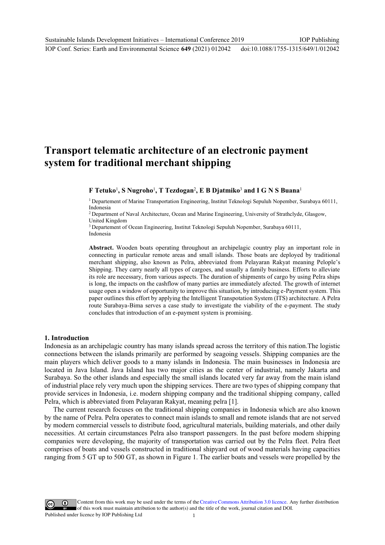# **Transport telematic architecture of an electronic payment system for traditional merchant shipping**

**F Tetuko**<sup>1</sup> **, S Nugroho**<sup>1</sup> **, T Tezdogan**<sup>2</sup> **, E B Djatmiko**<sup>3</sup>  **and I G N S Buana**<sup>1</sup>

1 Departement of Marine Transportation Engineering, Institut Teknologi Sepuluh Nopember, Surabaya 60111, Indonesia

2 Department of Naval Architecture, Ocean and Marine Engineering, University of Strathclyde, Glasgow, United Kingdom

3 Departement of Ocean Engineering, Institut Teknologi Sepuluh Nopember, Surabaya 60111, Indonesia

**Abstract.** Wooden boats operating throughout an archipelagic country play an important role in connecting in particular remote areas and small islands. Those boats are deployed by traditional merchant shipping, also known as Pelra, abbreviated from Pelayaran Rakyat meaning Pelople's Shipping. They carry nearly all types of cargoes, and usually a family business. Efforts to alleviate its role are necessary, from various aspects. The duration of shipments of cargo by using Pelra ships is long, the impacts on the cashflow of many parties are immediately afected. The growth of internet usage open a window of opportunity to improve this situation, by introducing e-Payment system. This paper outlines this effort by applying the Intelligent Transpotation System (ITS) architecture. A Pelra route Surabaya-Bima serves a case study to investigate the viability of the e-payment. The study concludes that introduction of an e-payment system is promising.

#### **1. Introduction**

Indonesia as an archipelagic country has many islands spread across the territory of this nation.The logistic connections between the islands primarily are performed by seagoing vessels. Shipping companies are the main players which deliver goods to a many islands in Indonesia. The main businesses in Indonesia are located in Java Island. Java Island has two major cities as the center of industrial, namely Jakarta and Surabaya. So the other islands and especially the small islands located very far away from the main island of industrial place rely very much upon the shipping services. There are two types of shipping company that provide services in Indonesia, i.e. modern shipping company and the traditional shipping company, called Pelra, which is abbreviated from Pelayaran Rakyat, meaning pelra [1].

The current research focuses on the traditional shipping companies in Indonesia which are also known by the name of Pelra. Pelra operates to connect main islands to small and remote islands that are not served by modern commercial vessels to distribute food, agricultural materials, building materials, and other daily necessities. At certain circumstances Pelra also transport passengers. In the past before modern shipping companies were developing, the majority of transportation was carried out by the Pelra fleet. Pelra fleet comprises of boats and vessels constructed in traditional shipyard out of wood materials having capacities ranging from 5 GT up to 500 GT, as shown in Figure 1. The earlier boats and vessels were propelled by the

Content from this work may be used under the terms of theCreative Commons Attribution 3.0 licence. Any further distribution of this work must maintain attribution to the author(s) and the title of the work, journal citation and DOI. Published under licence by IOP Publishing Ltd 1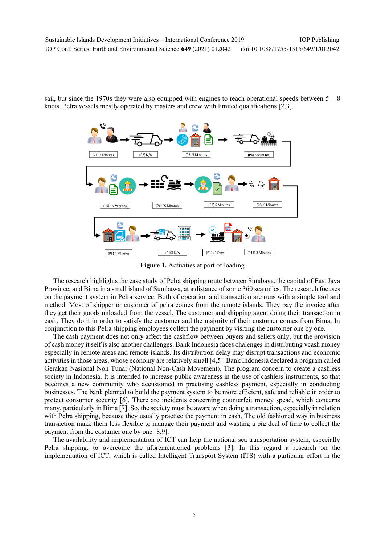sail, but since the 1970s they were also equipped with engines to reach operational speeds between  $5 - 8$ knots. Pelra vessels mostly operated by masters and crew with limited qualifications [2,3].



**Figure 1.** Activities at port of loading

The research highlights the case study of Pelra shipping route between Surabaya, the capital of East Java Province, and Bima in a small island of Sumbawa, at a distance of some 360 sea miles. The research focuses on the payment system in Pelra service. Both of operation and transaction are runs with a simple tool and method. Most of shipper or customer of pelra comes from the remote islands. They pay the invoice after they get their goods unloaded from the vessel. The customer and shipping agent doing their transaction in cash. They do it in order to satisfy the customer and the majority of their customer comes from Bima. In conjunction to this Pelra shipping employees collect the payment by visiting the customer one by one.

The cash payment does not only affect the cashflow between buyers and sellers only, but the provision of cash money it self is also another challenges. Bank Indonesia faces chalenges in distributing vcash money especially in remote areas and remote islands. Its distribution delay may disrupt transactions and economic activities in those areas, whose economy are relatively small [4,5]. Bank Indonesia declared a program called Gerakan Nasional Non Tunai (National Non-Cash Movement). The program concern to create a cashless society in Indonesia. It is intended to increase public awareness in the use of cashless instruments, so that becomes a new community who accustomed in practising cashless payment, especially in conducting businesses. The bank planned to build the payment system to be more efficient, safe and reliable in order to protect consumer security [6]. There are incidents concerning counterfeit money spead, which concerns many, particularly in Bima [7]. So, the society must be aware when doing a transaction, especially in relation with Pelra shipping, because they usually practice the payment in cash. The old fashioned way in business transaction make them less flexible to manage their payment and wasting a big deal of time to collect the payment from the costumer one by one [8,9].

The availability and implementation of ICT can help the national sea transportation system, especially Pelra shipping, to overcome the aforementioned problems [3]. In this regard a research on the implementation of ICT, which is called Intelligent Transport System (ITS) with a particular effort in the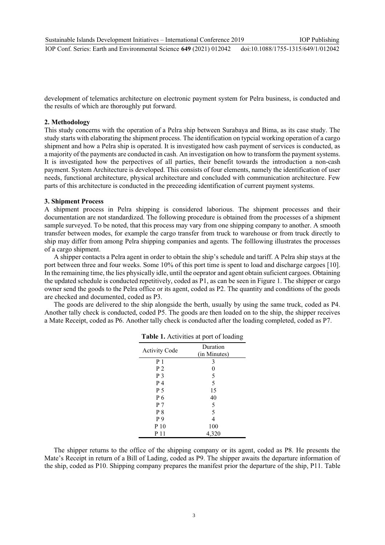development of telematics architecture on electronic payment system for Pelra business, is conducted and the results of which are thoroughly put forward.

## **2. Methodology**

This study concerns with the operation of a Pelra ship between Surabaya and Bima, as its case study. The study starts with elaborating the shipment process. The identification on typcial working operation of a cargo shipment and how a Pelra ship is operated. It is investigated how cash payment of services is conducted, as a majority of the payments are conducted in cash. An investigation on how to transform the payment systems. It is investigated how the perpectives of all parties, their benefit towards the introduction a non-cash payment. System Architecture is developed. This consists of four elements, namely the identification of user needs, functional architecture, physical architecture and concluded with communication architecture. Few parts of this architecture is conducted in the preceeding identification of current payment systems.

#### **3. Shipment Process**

A shipment process in Pelra shipping is considered laborious. The shipment processes and their documentation are not standardized. The following procedure is obtained from the processes of a shipment sample surveyed. To be noted, that this process may vary from one shipping company to another. A smooth transfer between modes, for example the cargo transfer from truck to warehouse or from truck directly to ship may differ from among Pelra shipping companies and agents*.* The folllowing illustrates the processes of a cargo shipment.

A shipper contacts a Pelra agent in order to obtain the ship's schedule and tariff. A Pelra ship stays at the port between three and four weeks. Some 10% of this port time is spent to load and discharge cargoes [10]. In the remaining time, the lies physically idle, until the oeprator and agent obtain suficient cargoes. Obtaining the updated schedule is conducted repetitively, coded as P1, as can be seen in Figure 1. The shipper or cargo owner send the goods to the Pelra office or its agent, coded as P2. The quantity and conditions of the goods are checked and documented, coded as P3.

The goods are delivered to the ship alongside the berth, usually by using the same truck, coded as P4. Another tally check is conducted, coded P5. The goods are then loaded on to the ship, the shipper receives a Mate Receipt, coded as P6. Another tally check is conducted after the loading completed, coded as P7.

| <b>Activity Code</b> | Duration<br>(in Minutes) |  |
|----------------------|--------------------------|--|
| P <sub>1</sub>       | 3                        |  |
| P <sub>2</sub>       | $\overline{0}$           |  |
| P <sub>3</sub>       | 5                        |  |
| P 4                  | 5                        |  |
| P 5                  | 15                       |  |
| P 6                  | 40                       |  |
| P <sub>7</sub>       | 5                        |  |
| P8                   | 5                        |  |
| P 9                  | $\overline{4}$           |  |
| P 10                 | 100                      |  |
| P 11                 | 4,320                    |  |

**Table 1.** Activities at port of loading

The shipper returns to the office of the shipping company or its agent, coded as P8. He presents the Mate's Receipt in return of a Bill of Lading, coded as P9. The shipper awaits the departure information of the ship, coded as P10. Shipping company prepares the manifest prior the departure of the ship, P11. Table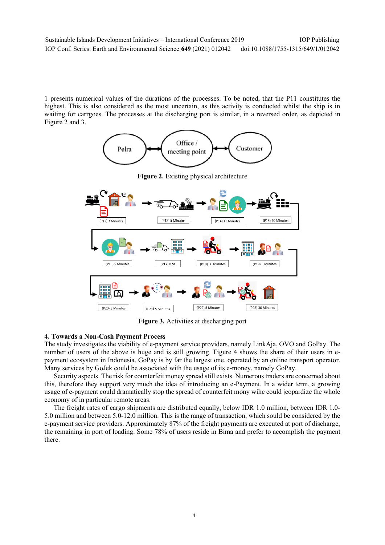1 presents numerical values of the durations of the processes. To be noted, that the P11 constitutes the highest. This is also considered as the most uncertain, as this activity is conducted whilst the ship is in waiting for carrgoes. The processes at the discharging port is similar, in a reversed order, as depicted in Figure 2 and 3.



**Figure 3.** Activities at discharging port

## **4. Towards a Non-Cash Payment Process**

The study investigates the viability of e-payment service providers, namely LinkAja, OVO and GoPay. The number of users of the above is huge and is still growing. Figure 4 shows the share of their users in epayment ecosystem in Indonesia. GoPay is by far the largest one, operated by an online transport operator. Many services by GoJek could be associated with the usage of its e-money, namely GoPay.

Security aspects. The risk for counterfeit money spread still exists. Numerous traders are concerned about this, therefore they support very much the idea of introducing an e-Payment. In a wider term, a growing usage of e-payment could dramatically stop the spread of counterfeit mony wihc could jeopardize the whole economy of in particular remote areas.

The freight rates of cargo shipments are distributed equally, below IDR 1.0 million, between IDR 1.0- 5.0 million and between 5.0-12.0 million. This is the range of transaction, which sould be considered by the e-payment service providers. Approximately 87% of the freight payments are executed at port of discharge, the remaining in port of loading. Some 78% of users reside in Bima and prefer to accomplish the payment there.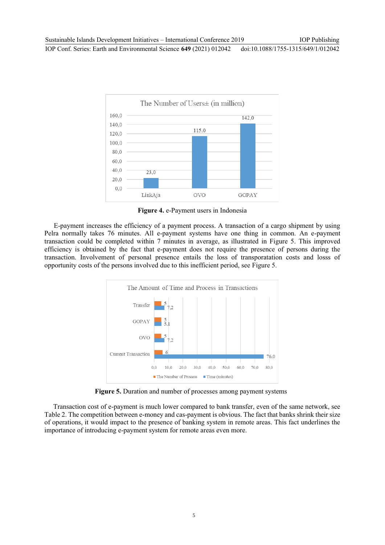IOP Conf. Series: Earth and Environmental Science **649** (2021) 012042 doi:10.1088/1755-1315/649/1/012042



**Figure 4.** e-Payment users in Indonesia

E-payment increases the efficiency of a payment process. A transaction of a cargo shipment by using Pelra normally takes 76 minutes. All e-payment systems have one thing in common. An e-payment transaction could be completed within 7 minutes in average, as illustrated in Figure 5. This improved efficiency is obtained by the fact that e-payment does not require the presence of persons during the transaction. Involvement of personal presence entails the loss of transporatation costs and losss of opportunity costs of the persons involved due to this inefficient period, see Figure 5.



**Figure 5.** Duration and number of processes among payment systems

Transaction cost of e-payment is much lower compared to bank transfer, even of the same network, see Table 2. The competition between e-money and cas-payment is obvious. The fact that banks shrink their size of operations, it would impact to the presence of banking system in remote areas. This fact underlines the importance of introducing e-payment system for remote areas even more.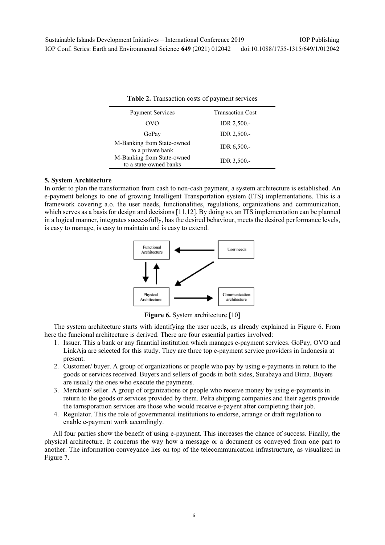| <b>Table 2.</b> Transaction costs of payment services |                         |  |
|-------------------------------------------------------|-------------------------|--|
| <b>Payment Services</b>                               | <b>Transaction Cost</b> |  |
| OVO                                                   | IDR 2,500.-             |  |
| GoPay                                                 | IDR 2,500.-             |  |
| M-Banking from State-owned<br>to a private bank       | IDR 6,500 .-            |  |
| M-Banking from State-owned<br>to a state-owned banks  | IDR 3,500.-             |  |

**Table 2.** Transaction costs of payment services

#### **5. System Architecture**

In order to plan the transformation from cash to non-cash payment, a system architecture is established. An e-payment belongs to one of growing Intelligent Transportation system (ITS) implementations. This is a framework covering a.o. the user needs, functionalities, regulations, organizations and communication, which serves as a basis for design and decisions [11,12]. By doing so, an ITS implementation can be planned in a logical manner, integrates successfully, has the desired behaviour, meets the desired performance levels, is easy to manage, is easy to maintain and is easy to extend.



**Figure 6.** System architecture [10]

The system architecture starts with identifying the user needs, as already explained in Figure 6. From here the funcional architecture is derived. There are four essential parties involved:

- 1. Issuer. This a bank or any finantial institution which manages e-payment services. GoPay, OVO and LinkAja are selected for this study. They are three top e-payment service providers in Indonesia at present.
- 2. Customer/ buyer. A group of organizations or people who pay by using e-payments in return to the goods or services received. Buyers and sellers of goods in both sides, Surabaya and Bima. Buyers are usually the ones who execute the payments.
- 3. Merchant/ seller. A group of organizations or people who receive money by using e-payments in return to the goods or services provided by them. Pelra shipping companies and their agents provide the tarnsporattion services are those who would receive e-payent after completing their job.
- 4. Regulator. This the role of governmental institutions to endorse, arrange or draft regulation to enable e-payment work accordingly.

All four parties show the benefit of using e-payment. This increases the chance of success. Finally, the physical architecture. It concerns the way how a message or a document os conveyed from one part to another. The information conveyance lies on top of the telecommunication infrastructure, as visualized in Figure 7.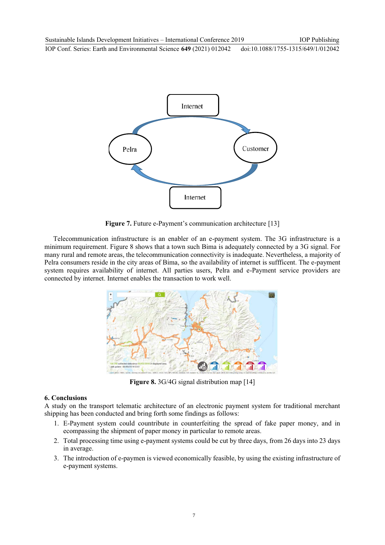

**Figure 7.** Future e-Payment's communication architecture [13]

Telecommunication infrastructure is an enabler of an e-payment system. The 3G infrastructure is a minimum requirement. Figure 8 shows that a town such Bima is adequately connected by a 3G signal. For many rural and remote areas, the telecommunication connectivity is inadequate. Nevertheless, a majority of Pelra consumers reside in the city areas of Bima, so the availability of internet is suffficent. The e-payment system requires availability of internet. All parties users, Pelra and e-Payment service providers are connected by internet. Internet enables the transaction to work well.



**Figure 8.** 3G/4G signal distribution map [14]

## **6. Conclusions**

A study on the transport telematic architecture of an electronic payment system for traditional merchant shipping has been conducted and bring forth some findings as follows:

- 1. E-Payment system could countribute in counterfeiting the spread of fake paper money, and in ecompassing the shipment of paper money in particular to remote areas.
- 2. Total processing time using e-payment systems could be cut by three days, from 26 days into 23 days in average.
- 3. The introduction of e-paymen is viewed economically feasible, by using the existing infrastructure of e-payment systems.